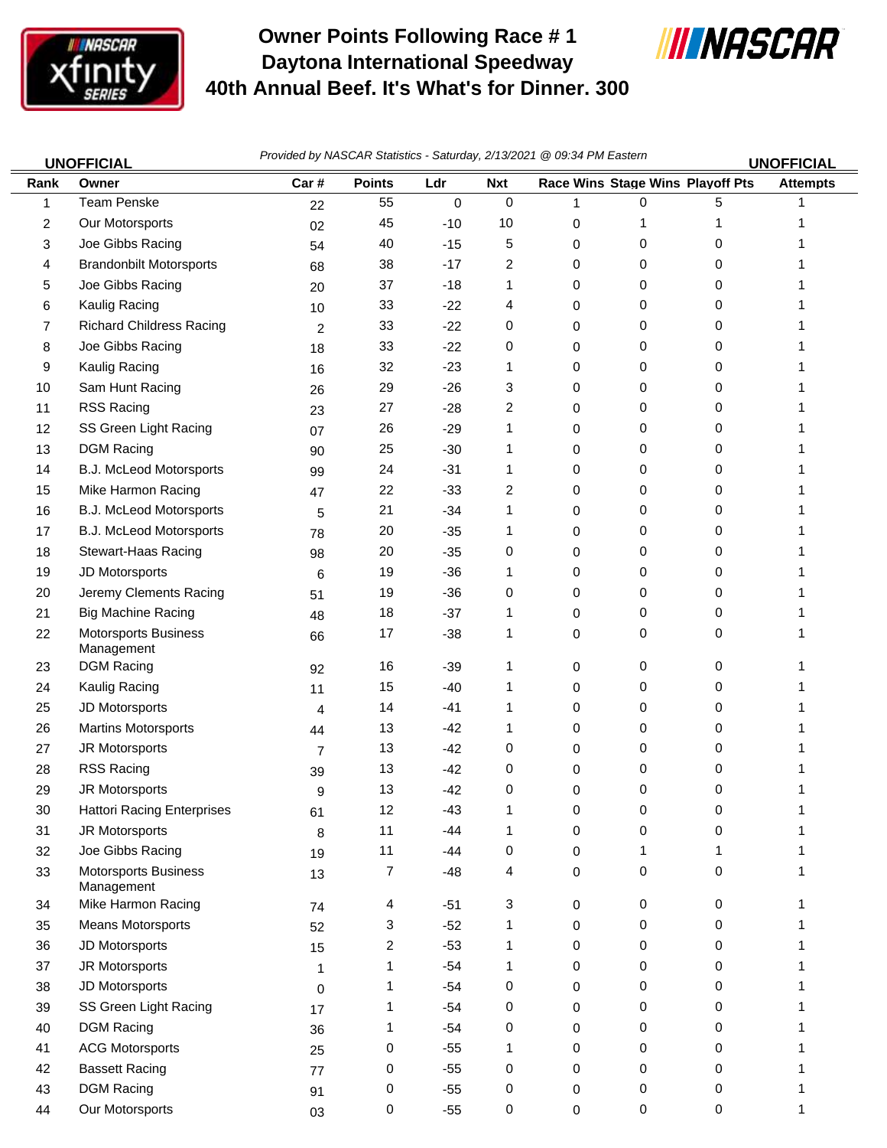

## **Owner Points Following Race # 1 Daytona International Speedway 40th Annual Beef. It's What's for Dinner. 300**



| <b>UNOFFICIAL</b> |                                           | Provided by NASCAR Statistics - Saturday, 2/13/2021 @ 09:34 PM Eastern<br><b>UNOFFICIAL</b> |                |       |            |             |                                  |   |                 |  |
|-------------------|-------------------------------------------|---------------------------------------------------------------------------------------------|----------------|-------|------------|-------------|----------------------------------|---|-----------------|--|
| Rank              | Owner                                     | Car#                                                                                        | <b>Points</b>  | Ldr   | <b>Nxt</b> |             | Race Wins Stage Wins Playoff Pts |   | <b>Attempts</b> |  |
| 1                 | <b>Team Penske</b>                        | 22                                                                                          | 55             | 0     | 0          | 1           | 0                                | 5 |                 |  |
| 2                 | Our Motorsports                           | 02                                                                                          | 45             | $-10$ | 10         | $\mathbf 0$ | 1                                |   |                 |  |
| 3                 | Joe Gibbs Racing                          | 54                                                                                          | 40             | $-15$ | 5          | 0           | 0                                | 0 |                 |  |
| 4                 | <b>Brandonbilt Motorsports</b>            | 68                                                                                          | 38             | $-17$ | 2          | 0           | 0                                | 0 |                 |  |
| 5                 | Joe Gibbs Racing                          | 20                                                                                          | 37             | $-18$ | 1          | 0           | 0                                | 0 |                 |  |
| 6                 | Kaulig Racing                             | 10                                                                                          | 33             | $-22$ | 4          | 0           | 0                                | 0 |                 |  |
| 7                 | <b>Richard Childress Racing</b>           | 2                                                                                           | 33             | $-22$ | 0          | 0           | 0                                | 0 |                 |  |
| 8                 | Joe Gibbs Racing                          | 18                                                                                          | 33             | $-22$ | 0          | 0           | 0                                | 0 |                 |  |
| 9                 | Kaulig Racing                             | 16                                                                                          | 32             | $-23$ | 1          | 0           | 0                                | 0 |                 |  |
| 10                | Sam Hunt Racing                           | 26                                                                                          | 29             | $-26$ | 3          | 0           | 0                                | 0 |                 |  |
| 11                | <b>RSS Racing</b>                         | 23                                                                                          | 27             | $-28$ | 2          | 0           | 0                                | 0 |                 |  |
| 12                | SS Green Light Racing                     | 07                                                                                          | 26             | $-29$ | 1          | 0           | 0                                | 0 |                 |  |
| 13                | <b>DGM Racing</b>                         | 90                                                                                          | 25             | $-30$ | 1          | 0           | 0                                | 0 |                 |  |
| 14                | B.J. McLeod Motorsports                   | 99                                                                                          | 24             | $-31$ | 1          | 0           | 0                                | 0 |                 |  |
| 15                | Mike Harmon Racing                        | 47                                                                                          | 22             | $-33$ | 2          | 0           | 0                                | 0 |                 |  |
| 16                | B.J. McLeod Motorsports                   | 5                                                                                           | 21             | $-34$ | 1          | 0           | 0                                | 0 |                 |  |
| 17                | B.J. McLeod Motorsports                   | 78                                                                                          | 20             | $-35$ | 1          | 0           | 0                                | 0 |                 |  |
| 18                | Stewart-Haas Racing                       | 98                                                                                          | 20             | $-35$ | 0          | 0           | 0                                | 0 |                 |  |
| 19                | JD Motorsports                            | 6                                                                                           | 19             | $-36$ | 1          | 0           | 0                                | 0 |                 |  |
| 20                | Jeremy Clements Racing                    | 51                                                                                          | 19             | $-36$ | 0          | 0           | 0                                | 0 |                 |  |
| 21                | <b>Big Machine Racing</b>                 | 48                                                                                          | 18             | $-37$ | 1          | 0           | 0                                | 0 |                 |  |
| 22                | Motorsports Business<br>Management        | 66                                                                                          | 17             | $-38$ | 1          | 0           | 0                                | 0 |                 |  |
| 23                | <b>DGM Racing</b>                         | 92                                                                                          | 16             | $-39$ | 1          | 0           | 0                                | 0 |                 |  |
| 24                | Kaulig Racing                             | 11                                                                                          | 15             | $-40$ | 1          | 0           | 0                                | 0 |                 |  |
| 25                | JD Motorsports                            | 4                                                                                           | 14             | $-41$ | 1          | 0           | 0                                | 0 |                 |  |
| 26                | <b>Martins Motorsports</b>                | 44                                                                                          | 13             | $-42$ | 1          | 0           | 0                                | 0 |                 |  |
| 27                | JR Motorsports                            | $\overline{7}$                                                                              | 13             | $-42$ | 0          | 0           | 0                                | 0 |                 |  |
| 28                | RSS Racing                                | 39                                                                                          | 13             | $-42$ | 0          | 0           | 0                                | 0 |                 |  |
| 29                | JR Motorsports                            | 9                                                                                           | 13             | $-42$ | 0          | 0           | 0                                | 0 | 1               |  |
| 30                | <b>Hattori Racing Enterprises</b>         | 61                                                                                          | 12             | $-43$ | 1          | 0           | 0                                | 0 |                 |  |
| 31                | JR Motorsports                            | 8                                                                                           | 11             | $-44$ | 1          | 0           | 0                                | 0 |                 |  |
| 32                | Joe Gibbs Racing                          | 19                                                                                          | 11             | -44   | 0          | 0           | 1                                | 1 | 1               |  |
| 33                | <b>Motorsports Business</b><br>Management | 13                                                                                          | 7              | $-48$ | 4          | $\mathbf 0$ | 0                                | 0 | 1               |  |
| 34                | Mike Harmon Racing                        | 74                                                                                          | 4              | $-51$ | 3          | $\mathbf 0$ | 0                                | 0 |                 |  |
| 35                | <b>Means Motorsports</b>                  | 52                                                                                          | 3              | $-52$ | 1          | $\mathbf 0$ | 0                                | 0 |                 |  |
| 36                | JD Motorsports                            | 15                                                                                          | $\overline{c}$ | $-53$ | 1          | 0           | 0                                | 0 |                 |  |
| 37                | JR Motorsports                            | 1                                                                                           | 1              | $-54$ | 1          | 0           | 0                                | 0 |                 |  |
| 38                | JD Motorsports                            | 0                                                                                           | 1              | $-54$ | 0          | 0           | 0                                | 0 |                 |  |
| 39                | SS Green Light Racing                     | 17                                                                                          | 1              | $-54$ | 0          | 0           | 0                                | 0 |                 |  |
| 40                | <b>DGM Racing</b>                         | 36                                                                                          | 1              | $-54$ | 0          | 0           | 0                                | 0 |                 |  |
| 41                | <b>ACG Motorsports</b>                    | 25                                                                                          | 0              | $-55$ | 1          | 0           | 0                                | 0 |                 |  |
| 42                | <b>Bassett Racing</b>                     | 77                                                                                          | 0              | $-55$ | 0          | $\mathbf 0$ | 0                                | 0 |                 |  |
| 43                | <b>DGM Racing</b>                         | 91                                                                                          | 0              | $-55$ | 0          | 0           | 0                                | 0 |                 |  |
| 44                | Our Motorsports                           | 03                                                                                          | $\mathbf 0$    | $-55$ | 0          | 0           | 0                                | 0 | 1               |  |